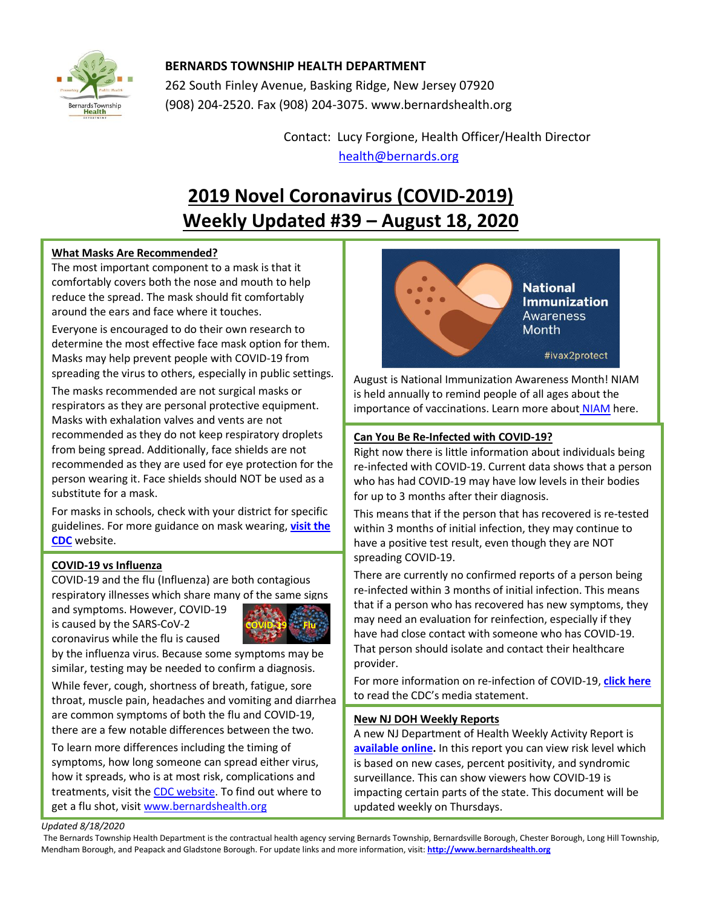

## **BERNARDS TOWNSHIP HEALTH DEPARTMENT**

262 South Finley Avenue, Basking Ridge, New Jersey 07920 (908) 204-2520. Fax (908) 204-3075[. www.bernardshealth.org](http://www.bernardshealth.org/)

> Contact: Lucy Forgione, Health Officer/Health Director [health@bernards.org](mailto:health@bernards.org)

# **2019 Novel Coronavirus (COVID-2019) Weekly Updated #39 – August 18, 2020**

## **What Masks Are Recommended?**

The most important component to a mask is that it comfortably covers both the nose and mouth to help reduce the spread. The mask should fit comfortably around the ears and face where it touches.

Everyone is encouraged to do their own research to determine the most effective face mask option for them. Masks may help prevent people with COVID-19 from spreading the virus to others, especially in public settings.

The masks recommended are not surgical masks or respirators as they are personal protective equipment. Masks with exhalation valves and vents are not recommended as they do not keep respiratory droplets from being spread. Additionally, face shields are not recommended as they are used for eye protection for the person wearing it. Face shields should NOT be used as a substitute for a mask.

For masks in schools, check with your district for specific guidelines. For more guidance on mask wearing, **[visit the](https://www.cdc.gov/coronavirus/2019-ncov/prevent-getting-sick/cloth-face-cover-guidance.html)  [CDC](https://www.cdc.gov/coronavirus/2019-ncov/prevent-getting-sick/cloth-face-cover-guidance.html)** website.

### **COVID-19 vs Influenza**

COVID-19 and the flu (Influenza) are both contagious respiratory illnesses which share many of the same signs and symptoms. However, COVID-19

is caused by the SARS-CoV-2 coronavirus while the flu is caused



by the influenza virus. Because some symptoms may be similar, testing may be needed to confirm a diagnosis.

While fever, cough, shortness of breath, fatigue, sore throat, muscle pain, headaches and vomiting and diarrhea are common symptoms of both the flu and COVID-19, there are a few notable differences between the two.

To learn more differences including the timing of symptoms, how long someone can spread either virus, how it spreads, who is at most risk, complications and treatments, visit the CDC [website.](https://www.cdc.gov/flu/symptoms/flu-vs-covid19.htm) To find out where to get a flu shot, visi[t www.bernardshealth.org](http://www.bernardshealth.org/HDDocuments/HealthPromotion/Seasonal%20Flu%20Flyer.pdf)



August is National Immunization Awareness Month! NIAM is held annually to remind people of all ages about the importance of vaccinations. Learn more about [NIAM](https://www.cdc.gov/vaccines/events/niam/index.html) here.

## **Can You Be Re-Infected with COVID-19?**

Right now there is little information about individuals being re-infected with COVID-19. Current data shows that a person who has had COVID-19 may have low levels in their bodies for up to 3 months after their diagnosis.

This means that if the person that has recovered is re-tested within 3 months of initial infection, they may continue to have a positive test result, even though they are NOT spreading COVID-19.

There are currently no confirmed reports of a person being re-infected within 3 months of initial infection. This means that if a person who has recovered has new symptoms, they may need an evaluation for reinfection, especially if they have had close contact with someone who has COVID-19. That person should isolate and contact their healthcare provider.

For more information on re-infection of COVID-19, **[click here](https://www.cdc.gov/media/releases/2020/s0814-updated-isolation-guidance.html)** to read the CDC's media statement.

### **New NJ DOH Weekly Reports**

A new NJ Department of Health Weekly Activity Report is **[available online.](https://www.nj.gov/health/cd/statistics/)** In this report you can view risk level which is based on new cases, percent positivity, and syndromic surveillance. This can show viewers how COVID-19 is impacting certain parts of the state. This document will be updated weekly on Thursdays.

#### *Updated 8/18/2020*

The Bernards Township Health Department is the contractual health agency serving Bernards Township, Bernardsville Borough, Chester Borough, Long Hill Township, Mendham Borough, and Peapack and Gladstone Borough. For update links and more information, visit: **[http://www.bernardshealth.org](http://www.bernardshealth.org/)**